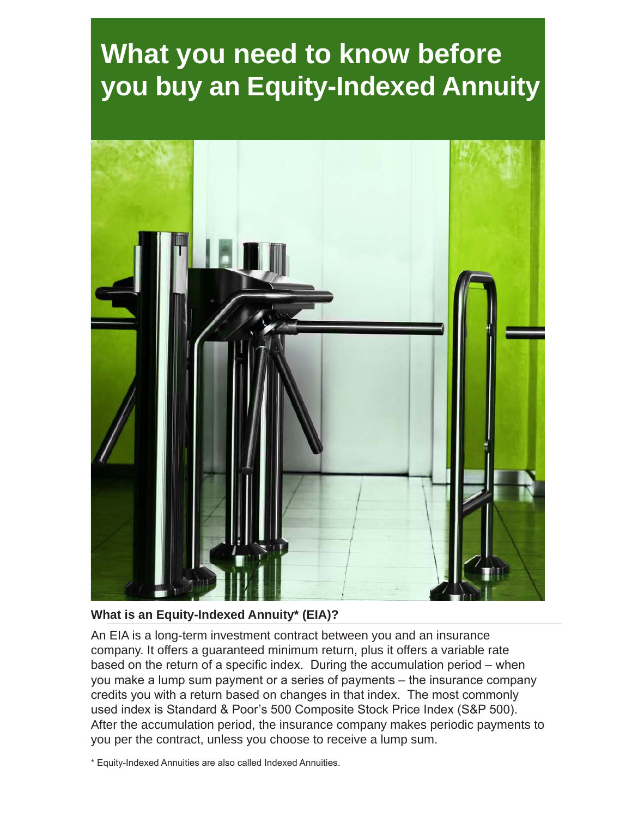## **What you need to know before you buy an Equity-Indexed Annuity**



**What is an Equity-Indexed Annuity\* (EIA)?** 

An EIA is a long-term investment contract between you and an insurance company. It offers a guaranteed minimum return, plus it offers a variable rate based on the return of a specific index. During the accumulation period – when you make a lump sum payment or a series of payments – the insurance company credits you with a return based on changes in that index. The most commonly used index is Standard & Poor's 500 Composite Stock Price Index (S&P 500). After the accumulation period, the insurance company makes periodic payments to you per the contract, unless you choose to receive a lump sum.

\* Equity-Indexed Annuities are also called Indexed Annuities.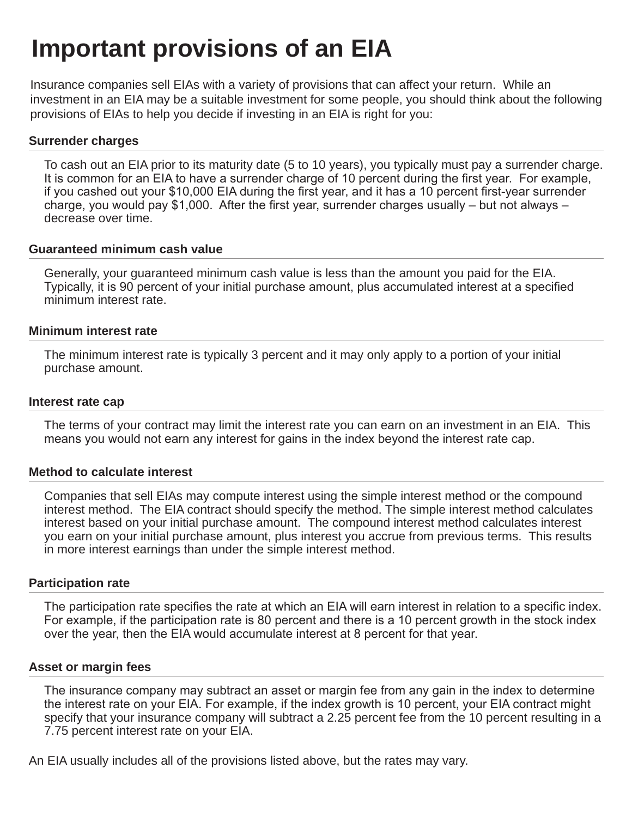## **Important provisions of an EIA**

Insurance companies sell EIAs with a variety of provisions that can affect your return. While an investment in an EIA may be a suitable investment for some people, you should think about the following provisions of EIAs to help you decide if investing in an EIA is right for you:

### **Surrender charges**

To cash out an EIA prior to its maturity date (5 to 10 years), you typically must pay a surrender charge. It is common for an EIA to have a surrender charge of 10 percent during the first year. For example, if you cashed out your \$10,000 EIA during the first year, and it has a 10 percent first-year surrender charge, you would pay \$1,000. After the first year, surrender charges usually – but not always – decrease over time.

### **Guaranteed minimum cash value**

Generally, your guaranteed minimum cash value is less than the amount you paid for the EIA. Typically, it is 90 percent of your initial purchase amount, plus accumulated interest at a specified minimum interest rate.

### **Minimum interest rate**

The minimum interest rate is typically 3 percent and it may only apply to a portion of your initial purchase amount.

### **Interest rate cap**

The terms of your contract may limit the interest rate you can earn on an investment in an EIA. This means you would not earn any interest for gains in the index beyond the interest rate cap.

### **Method to calculate interest**

Companies that sell EIAs may compute interest using the simple interest method or the compound interest method. The EIA contract should specify the method. The simple interest method calculates interest based on your initial purchase amount. The compound interest method calculates interest you earn on your initial purchase amount, plus interest you accrue from previous terms. This results in more interest earnings than under the simple interest method.

### **Participation rate**

The participation rate specifies the rate at which an EIA will earn interest in relation to a specific index. For example, if the participation rate is 80 percent and there is a 10 percent growth in the stock index over the year, then the EIA would accumulate interest at 8 percent for that year.

### **Asset or margin fees**

The insurance company may subtract an asset or margin fee from any gain in the index to determine the interest rate on your EIA. For example, if the index growth is 10 percent, your EIA contract might specify that your insurance company will subtract a 2.25 percent fee from the 10 percent resulting in a 7.75 percent interest rate on your EIA.

An EIA usually includes all of the provisions listed above, but the rates may vary.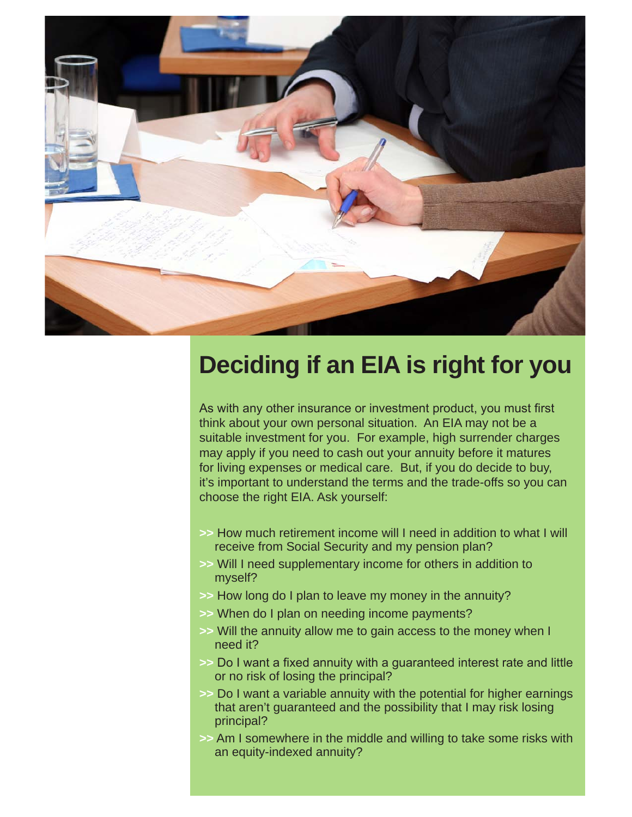

### **Deciding if an EIA is right for you**

As with any other insurance or investment product, you must first think about your own personal situation. An EIA may not be a suitable investment for you. For example, high surrender charges may apply if you need to cash out your annuity before it matures for living expenses or medical care. But, if you do decide to buy, it's important to understand the terms and the trade-offs so you can choose the right EIA. Ask yourself:

- **>>** How much retirement income will I need in addition to what I will receive from Social Security and my pension plan?
- **>>** Will I need supplementary income for others in addition to myself?
- **>>** How long do I plan to leave my money in the annuity?
- **>>** When do I plan on needing income payments?
- **>>** Will the annuity allow me to gain access to the money when I need it?
- **>>** Do I want a fixed annuity with a guaranteed interest rate and little or no risk of losing the principal?
- **>>** Do I want a variable annuity with the potential for higher earnings that aren't guaranteed and the possibility that I may risk losing principal?
- **>>** Am I somewhere in the middle and willing to take some risks with an equity-indexed annuity?